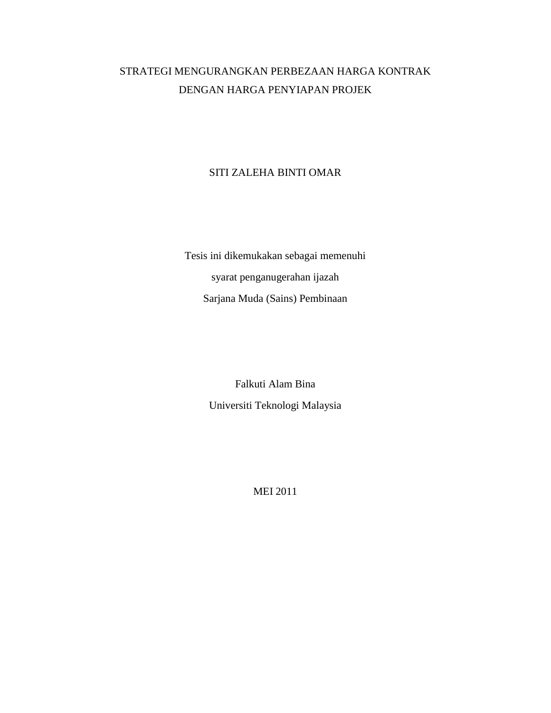## STRATEGI MENGURANGKAN PERBEZAAN HARGA KONTRAK DENGAN HARGA PENYIAPAN PROJEK

## SITI ZALEHA BINTI OMAR

Tesis ini dikemukakan sebagai memenuhi syarat penganugerahan ijazah Sarjana Muda (Sains) Pembinaan

> Falkuti Alam Bina Universiti Teknologi Malaysia

> > MEI 2011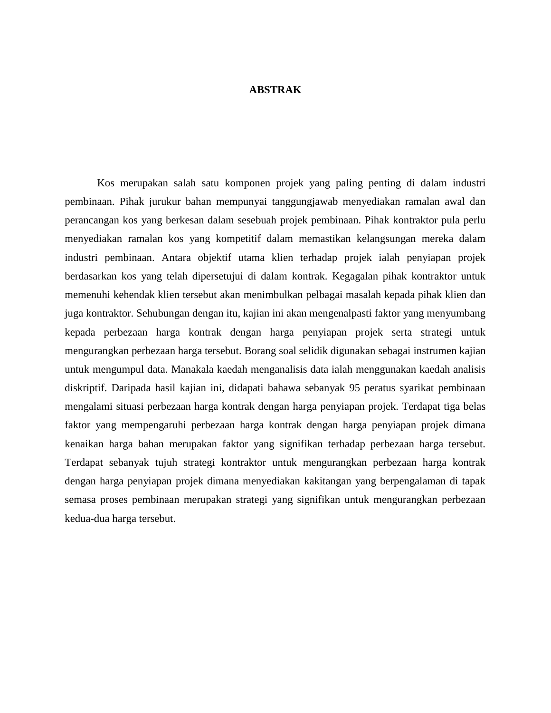## **ABSTRAK**

Kos merupakan salah satu komponen projek yang paling penting di dalam industri pembinaan. Pihak jurukur bahan mempunyai tanggungjawab menyediakan ramalan awal dan perancangan kos yang berkesan dalam sesebuah projek pembinaan. Pihak kontraktor pula perlu menyediakan ramalan kos yang kompetitif dalam memastikan kelangsungan mereka dalam industri pembinaan. Antara objektif utama klien terhadap projek ialah penyiapan projek berdasarkan kos yang telah dipersetujui di dalam kontrak. Kegagalan pihak kontraktor untuk memenuhi kehendak klien tersebut akan menimbulkan pelbagai masalah kepada pihak klien dan juga kontraktor. Sehubungan dengan itu, kajian ini akan mengenalpasti faktor yang menyumbang kepada perbezaan harga kontrak dengan harga penyiapan projek serta strategi untuk mengurangkan perbezaan harga tersebut. Borang soal selidik digunakan sebagai instrumen kajian untuk mengumpul data. Manakala kaedah menganalisis data ialah menggunakan kaedah analisis diskriptif. Daripada hasil kajian ini, didapati bahawa sebanyak 95 peratus syarikat pembinaan mengalami situasi perbezaan harga kontrak dengan harga penyiapan projek. Terdapat tiga belas faktor yang mempengaruhi perbezaan harga kontrak dengan harga penyiapan projek dimana kenaikan harga bahan merupakan faktor yang signifikan terhadap perbezaan harga tersebut. Terdapat sebanyak tujuh strategi kontraktor untuk mengurangkan perbezaan harga kontrak dengan harga penyiapan projek dimana menyediakan kakitangan yang berpengalaman di tapak semasa proses pembinaan merupakan strategi yang signifikan untuk mengurangkan perbezaan kedua-dua harga tersebut.